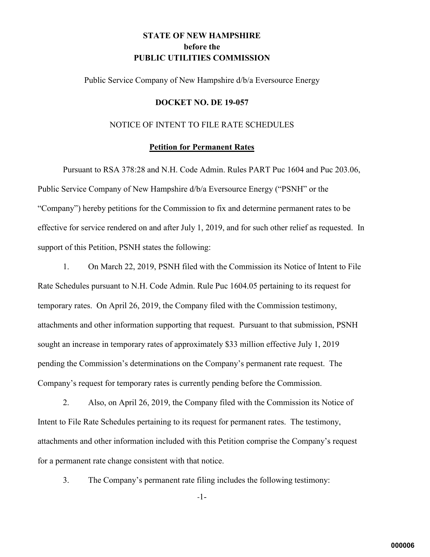# **STATE OF NEW HAMPSHIRE before the PUBLIC UTILITIES COMMISSION**

Public Service Company of New Hampshire d/b/a Eversource Energy

#### **DOCKET NO. DE 19-057**

## NOTICE OF INTENT TO FILE RATE SCHEDULES

### **Petition for Permanent Rates**

Pursuant to RSA 378:28 and N.H. Code Admin. Rules PART Puc 1604 and Puc 203.06, Public Service Company of New Hampshire d/b/a Eversource Energy ("PSNH" or the "Company") hereby petitions for the Commission to fix and determine permanent rates to be effective for service rendered on and after July 1, 2019, and for such other relief as requested. In support of this Petition, PSNH states the following:

1. On March 22, 2019, PSNH filed with the Commission its Notice of Intent to File Rate Schedules pursuant to N.H. Code Admin. Rule Puc 1604.05 pertaining to its request for temporary rates. On April 26, 2019, the Company filed with the Commission testimony, attachments and other information supporting that request. Pursuant to that submission, PSNH sought an increase in temporary rates of approximately \$33 million effective July 1, 2019 pending the Commission's determinations on the Company's permanent rate request. The Company's request for temporary rates is currently pending before the Commission.

2. Also, on April 26, 2019, the Company filed with the Commission its Notice of Intent to File Rate Schedules pertaining to its request for permanent rates. The testimony, attachments and other information included with this Petition comprise the Company's request for a permanent rate change consistent with that notice.

3. The Company's permanent rate filing includes the following testimony:

-1-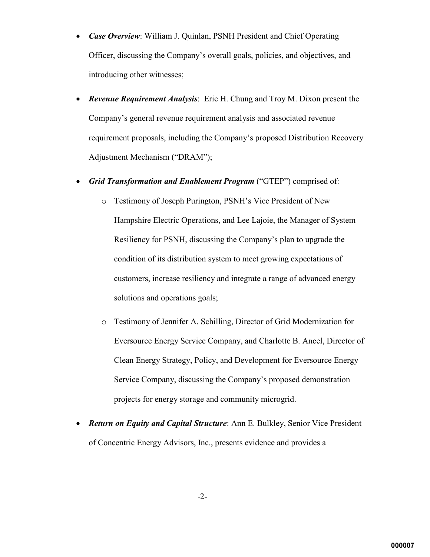- *Case Overview*: William J. Quinlan, PSNH President and Chief Operating Officer, discussing the Company's overall goals, policies, and objectives, and introducing other witnesses;
- *Revenue Requirement Analysis*: Eric H. Chung and Troy M. Dixon present the Company's general revenue requirement analysis and associated revenue requirement proposals, including the Company's proposed Distribution Recovery Adjustment Mechanism ("DRAM");
- *Grid Transformation and Enablement Program* ("GTEP") comprised of:
	- o Testimony of Joseph Purington, PSNH's Vice President of New Hampshire Electric Operations, and Lee Lajoie, the Manager of System Resiliency for PSNH, discussing the Company's plan to upgrade the condition of its distribution system to meet growing expectations of customers, increase resiliency and integrate a range of advanced energy solutions and operations goals;
	- o Testimony of Jennifer A. Schilling, Director of Grid Modernization for Eversource Energy Service Company, and Charlotte B. Ancel, Director of Clean Energy Strategy, Policy, and Development for Eversource Energy Service Company, discussing the Company's proposed demonstration projects for energy storage and community microgrid.
- *Return on Equity and Capital Structure*: Ann E. Bulkley, Senior Vice President of Concentric Energy Advisors, Inc., presents evidence and provides a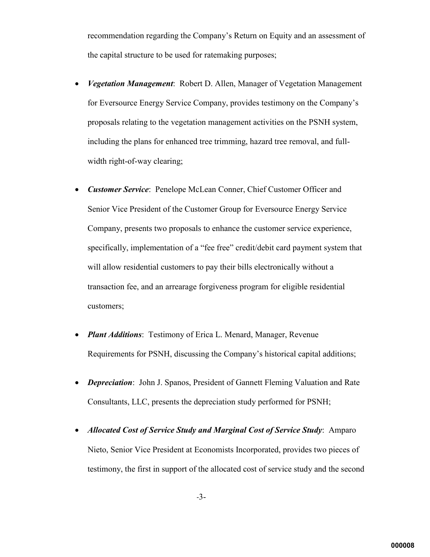recommendation regarding the Company's Return on Equity and an assessment of the capital structure to be used for ratemaking purposes;

- *Vegetation Management*: Robert D. Allen, Manager of Vegetation Management for Eversource Energy Service Company, provides testimony on the Company's proposals relating to the vegetation management activities on the PSNH system, including the plans for enhanced tree trimming, hazard tree removal, and fullwidth right-of-way clearing;
- *Customer Service*: Penelope McLean Conner, Chief Customer Officer and Senior Vice President of the Customer Group for Eversource Energy Service Company, presents two proposals to enhance the customer service experience, specifically, implementation of a "fee free" credit/debit card payment system that will allow residential customers to pay their bills electronically without a transaction fee, and an arrearage forgiveness program for eligible residential customers;
- *Plant Additions*: Testimony of Erica L. Menard, Manager, Revenue Requirements for PSNH, discussing the Company's historical capital additions;
- *Depreciation*: John J. Spanos, President of Gannett Fleming Valuation and Rate Consultants, LLC, presents the depreciation study performed for PSNH;
- *Allocated Cost of Service Study and Marginal Cost of Service Study*: Amparo Nieto, Senior Vice President at Economists Incorporated, provides two pieces of testimony, the first in support of the allocated cost of service study and the second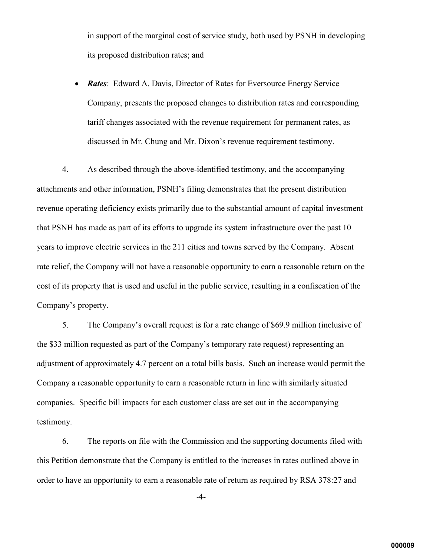in support of the marginal cost of service study, both used by PSNH in developing its proposed distribution rates; and

*Rates*: Edward A. Davis, Director of Rates for Eversource Energy Service Company, presents the proposed changes to distribution rates and corresponding tariff changes associated with the revenue requirement for permanent rates, as discussed in Mr. Chung and Mr. Dixon's revenue requirement testimony.

4. As described through the above-identified testimony, and the accompanying attachments and other information, PSNH's filing demonstrates that the present distribution revenue operating deficiency exists primarily due to the substantial amount of capital investment that PSNH has made as part of its efforts to upgrade its system infrastructure over the past 10 years to improve electric services in the 211 cities and towns served by the Company. Absent rate relief, the Company will not have a reasonable opportunity to earn a reasonable return on the cost of its property that is used and useful in the public service, resulting in a confiscation of the Company's property.

5. The Company's overall request is for a rate change of \$69.9 million (inclusive of the \$33 million requested as part of the Company's temporary rate request) representing an adjustment of approximately 4.7 percent on a total bills basis. Such an increase would permit the Company a reasonable opportunity to earn a reasonable return in line with similarly situated companies. Specific bill impacts for each customer class are set out in the accompanying testimony.

6. The reports on file with the Commission and the supporting documents filed with this Petition demonstrate that the Company is entitled to the increases in rates outlined above in order to have an opportunity to earn a reasonable rate of return as required by RSA 378:27 and

-4-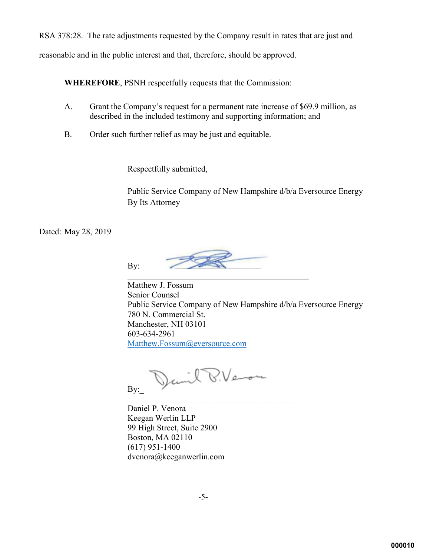RSA 378:28. The rate adjustments requested by the Company result in rates that are just and reasonable and in the public interest and that, therefore, should be approved.

**WHEREFORE**, PSNH respectfully requests that the Commission:

- A. Grant the Company's request for a permanent rate increase of \$69.9 million, as described in the included testimony and supporting information; and
- B. Order such further relief as may be just and equitable.

Respectfully submitted,

Public Service Company of New Hampshire d/b/a Eversource Energy By Its Attorney

Dated: May 28, 2019

By:

Matthew J. Fossum Senior Counsel Public Service Company of New Hampshire d/b/a Eversource Energy 780 N. Commercial St. Manchester, NH 03101 603-634-2961 [Matthew.Fossum@eversource.com](mailto:Matthew.Fossum@eversource.com)

David P.Veron By:

 $\mathcal{L}_\text{max}$  , and the set of the set of the set of the set of the set of the set of the set of the set of the set of the set of the set of the set of the set of the set of the set of the set of the set of the set of the Daniel P. Venora Keegan Werlin LLP 99 High Street, Suite 2900 Boston, MA 02110 (617) 951-1400 dvenora@keeganwerlin.com